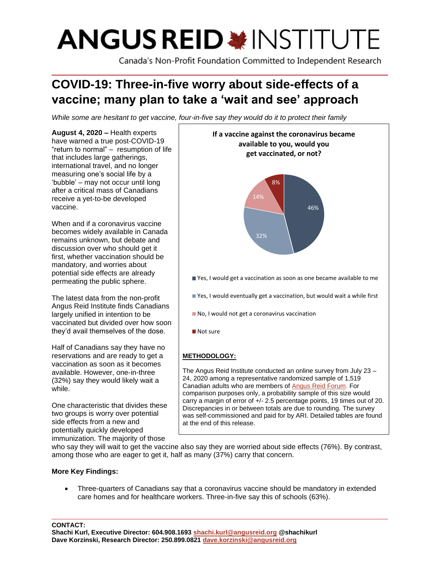# **ANGUS REID \*INSTITUTE**

Canada's Non-Profit Foundation Committed to Independent Research

# **COVID-19: Three-in-five worry about side-effects of a vaccine; many plan to take a 'wait and see' approach**

*While some are hesitant to get vaccine, four-in-five say they would do it to protect their family*

**August 4, 2020 –** Health experts have warned a true post-COVID-19 "return to normal" – resumption of life that includes large gatherings, international travel, and no longer measuring one's social life by a 'bubble' – may not occur until long after a critical mass of Canadians receive a yet-to-be developed vaccine.

When and if a coronavirus vaccine becomes widely available in Canada remains unknown, but debate and discussion over who should get it first, whether vaccination should be mandatory, and worries about potential side effects are already permeating the public sphere.

The latest data from the non-profit Angus Reid Institute finds Canadians largely unified in intention to be vaccinated but divided over how soon they'd avail themselves of the dose.

Half of Canadians say they have no reservations and are ready to get a vaccination as soon as it becomes available. However, one-in-three (32%) say they would likely wait a while.

One characteristic that divides these two groups is worry over potential side effects from a new and potentially quickly developed immunization. The majority of those



who say they will wait to get the vaccine also say they are worried about side effects (76%). By contrast, among those who are eager to get it, half as many (37%) carry that concern.

at the end of this release.

### **More Key Findings:**

• Three-quarters of Canadians say that a coronavirus vaccine should be mandatory in extended care homes and for healthcare workers. Three-in-five say this of schools (63%).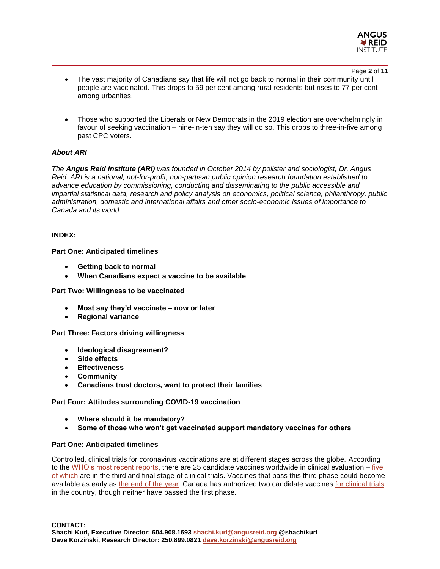

Page **2** of **11**

- The vast majority of Canadians say that life will not go back to normal in their community until people are vaccinated. This drops to 59 per cent among rural residents but rises to 77 per cent among urbanites.
- Those who supported the Liberals or New Democrats in the 2019 election are overwhelmingly in favour of seeking vaccination – nine-in-ten say they will do so. This drops to three-in-five among past CPC voters.

#### *About ARI*

*The Angus Reid Institute (ARI) was founded in October 2014 by pollster and sociologist, Dr. Angus Reid. ARI is a national, not-for-profit, non-partisan public opinion research foundation established to advance education by commissioning, conducting and disseminating to the public accessible and impartial statistical data, research and policy analysis on economics, political science, philanthropy, public administration, domestic and international affairs and other socio-economic issues of importance to Canada and its world.*

#### **INDEX:**

#### **Part One: Anticipated timelines**

- **Getting back to normal**
- **When Canadians expect a vaccine to be available**

#### **Part Two: Willingness to be vaccinated**

- **Most say they'd vaccinate – now or later**
- **Regional variance**
- **Part Three: Factors driving willingness**
	- **Ideological disagreement?**
	- **Side effects**
	- **Effectiveness**
	- **Community**
	- **Canadians trust doctors, want to protect their families**

#### **Part Four: Attitudes surrounding COVID-19 vaccination**

- **Where should it be mandatory?**
- **Some of those who won't get vaccinated support mandatory vaccines for others**

#### **Part One: Anticipated timelines**

Controlled, clinical trials for coronavirus vaccinations are at different stages across the globe. According to the [WHO's most recent reports,](https://www.who.int/publications/m/item/draft-landscape-of-covid-19-candidate-vaccines) there are 25 candidate vaccines worldwide in clinical evaluation  $-$  [five](https://www.nytimes.com/interactive/2020/science/coronavirus-vaccine-tracker.html) [of which](https://www.nytimes.com/interactive/2020/science/coronavirus-vaccine-tracker.html) are in the third and final stage of clinical trials. Vaccines that pass this third phase could become available as early as [the end of the year.](https://financialpost.com/pmn/business-pmn/moderna-covid-19-vaccine-could-be-ready-for-use-by-end-of-year-u-s-says-2) Canada has authorized two candidate vaccines [for clinical trials](https://www.canada.ca/en/health-canada/services/drugs-health-products/covid19-clinical-trials/list-authorized-trials.html) in the country, though neither have passed the first phase.

**CONTACT:**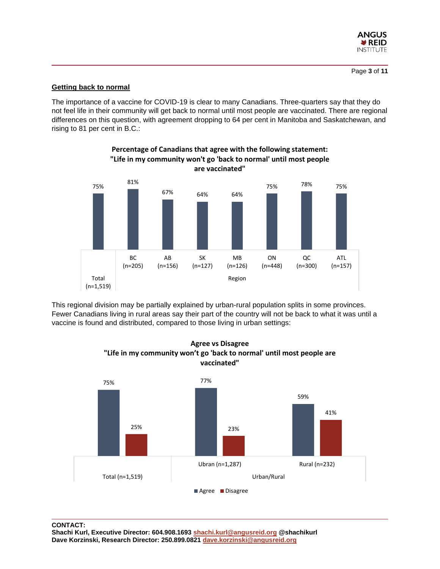

#### **Getting back to normal**

The importance of a vaccine for COVID-19 is clear to many Canadians. Three-quarters say that they do not feel life in their community will get back to normal until most people are vaccinated. There are regional differences on this question, with agreement dropping to 64 per cent in Manitoba and Saskatchewan, and rising to 81 per cent in B.C.:

**Percentage of Canadians that agree with the following statement:** 



This regional division may be partially explained by urban-rural population splits in some provinces. Fewer Canadians living in rural areas say their part of the country will not be back to what it was until a vaccine is found and distributed, compared to those living in urban settings:



**Agree vs Disagree "Life in my community won't go 'back to normal' until most people are vaccinated"**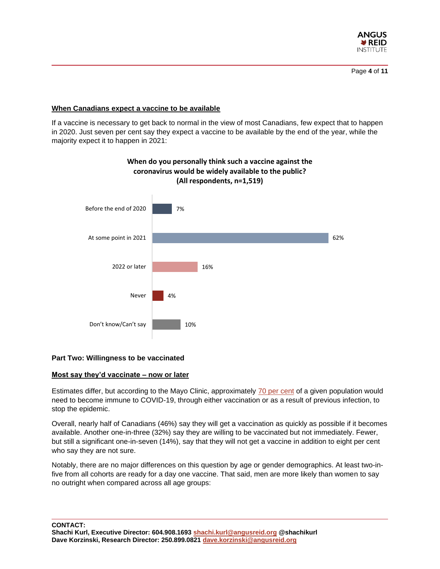

#### **When Canadians expect a vaccine to be available**

If a vaccine is necessary to get back to normal in the view of most Canadians, few expect that to happen in 2020. Just seven per cent say they expect a vaccine to be available by the end of the year, while the majority expect it to happen in 2021:



## **When do you personally think such a vaccine against the coronavirus would be widely available to the public? (All respondents, n=1,519)**

#### **Part Two: Willingness to be vaccinated**

#### **Most say they'd vaccinate – now or later**

Estimates differ, but according to the Mayo Clinic, approximately [70 per cent](https://www.mayoclinic.org/diseases-conditions/coronavirus/in-depth/herd-immunity-and-coronavirus/art-20486808) of a given population would need to become immune to COVID-19, through either vaccination or as a result of previous infection, to stop the epidemic.

Overall, nearly half of Canadians (46%) say they will get a vaccination as quickly as possible if it becomes available. Another one-in-three (32%) say they are willing to be vaccinated but not immediately. Fewer, but still a significant one-in-seven (14%), say that they will not get a vaccine in addition to eight per cent who say they are not sure.

Notably, there are no major differences on this question by age or gender demographics. At least two-infive from all cohorts are ready for a day one vaccine. That said, men are more likely than women to say no outright when compared across all age groups:

**CONTACT:**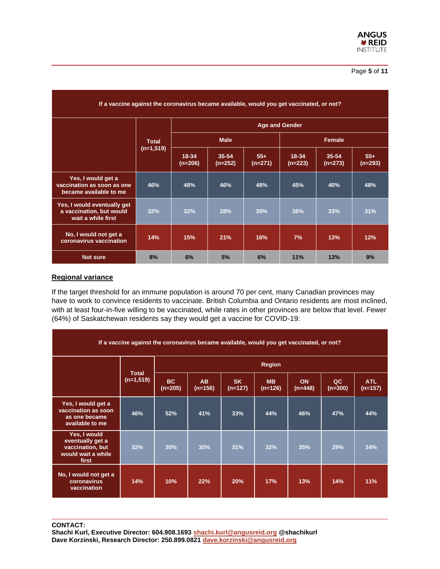| If a vaccine against the coronavirus became available, would you get vaccinated, or not? |              |                    |                        |                    |                       |                        |                    |  |  |
|------------------------------------------------------------------------------------------|--------------|--------------------|------------------------|--------------------|-----------------------|------------------------|--------------------|--|--|
|                                                                                          |              |                    |                        |                    | <b>Age and Gender</b> |                        |                    |  |  |
|                                                                                          | <b>Total</b> |                    | <b>Male</b>            |                    | Female                |                        |                    |  |  |
|                                                                                          | $(n=1,519)$  | 18-34<br>$(n=206)$ | $35 - 54$<br>$(n=252)$ | $55+$<br>$(n=271)$ | 18-34<br>$(n=223)$    | $35 - 54$<br>$(n=273)$ | $55+$<br>$(n=293)$ |  |  |
| Yes, I would get a<br>vaccination as soon as one<br>became available to me               | 46%          | 48%                | 46%                    | 48%                | 45%                   | 40%                    | 48%                |  |  |
| Yes, I would eventually get<br>a vaccination, but would<br>wait a while first            | 32%          | 32%                | 28%                    | 30%                | 36%                   | 33%                    | 31%                |  |  |
| No, I would not get a<br>coronavirus vaccination                                         | 14%          | 15%                | 21%                    | 16%                | 7%                    | 13%                    | 12%                |  |  |
| <b>Not sure</b>                                                                          | 8%           | 6%                 | 5%                     | 6%                 | 11%                   | 13%                    | 9%                 |  |  |

#### **Regional variance**

If the target threshold for an immune population is around 70 per cent, many Canadian provinces may have to work to convince residents to vaccinate. British Columbia and Ontario residents are most inclined, with at least four-in-five willing to be vaccinated, while rates in other provinces are below that level. Fewer (64%) of Saskatchewan residents say they would get a vaccine for COVID-19:

| If a vaccine against the coronavirus became available, would you get vaccinated, or not? |                             |                        |                        |                        |                        |                 |                 |                         |
|------------------------------------------------------------------------------------------|-----------------------------|------------------------|------------------------|------------------------|------------------------|-----------------|-----------------|-------------------------|
|                                                                                          | <b>Total</b><br>$(n=1,519)$ | <b>Region</b>          |                        |                        |                        |                 |                 |                         |
|                                                                                          |                             | <b>BC</b><br>$(n=205)$ | <b>AB</b><br>$(n=156)$ | <b>SK</b><br>$(n=127)$ | <b>MB</b><br>$(n=126)$ | ON<br>$(n=448)$ | QC<br>$(n=300)$ | <b>ATL</b><br>$(n=157)$ |
| Yes, I would get a<br>vaccination as soon<br>as one became<br>available to me            | 46%                         | 52%                    | 41%                    | 33%                    | 44%                    | 46%             | 47%             | 44%                     |
| Yes, I would<br>eventually get a<br>vaccination, but<br>would wait a while<br>first      | 32%                         | 30%                    | 30%                    | 31%                    | 32%                    | 35%             | 29%             | 34%                     |
| No, I would not get a<br>coronavirus<br>vaccination                                      | 14%                         | 10%                    | 22%                    | 20%                    | 17%                    | 13%             | 14%             | 11%                     |

**CONTACT:**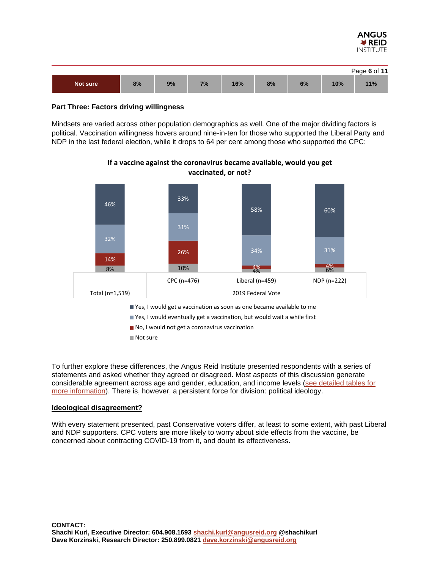

|          |    |    |    |     |    |    |     | Page 6 of 11 |
|----------|----|----|----|-----|----|----|-----|--------------|
| Not sure | 8% | 9% | 7% | 16% | 8% | 6% | 10% | 11%          |

#### **Part Three: Factors driving willingness**

Mindsets are varied across other population demographics as well. One of the major dividing factors is political. Vaccination willingness hovers around nine-in-ten for those who supported the Liberal Party and NDP in the last federal election, while it drops to 64 per cent among those who supported the CPC:



**If a vaccine against the coronavirus became available, would you get vaccinated, or not?**

To further explore these differences, the Angus Reid Institute presented respondents with a series of statements and asked whether they agreed or disagreed. Most aspects of this discussion generate considerable agreement across age and gender, education, and income levels [\(see detailed tables for](http://angusreid.org/wp-content/uploads/2020/07/2020.07.31_COVID-VACCINE_PRTables_Demos.pdf)  [more information\)](http://angusreid.org/wp-content/uploads/2020/07/2020.07.31_COVID-VACCINE_PRTables_Demos.pdf). There is, however, a persistent force for division: political ideology.

#### **Ideological disagreement?**

With every statement presented, past Conservative voters differ, at least to some extent, with past Liberal and NDP supporters. CPC voters are more likely to worry about side effects from the vaccine, be concerned about contracting COVID-19 from it, and doubt its effectiveness.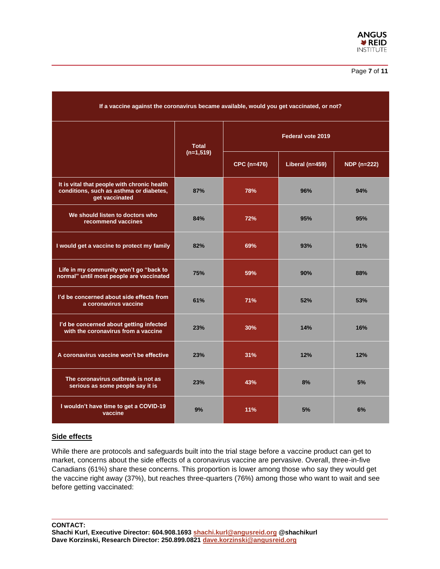

| If a vaccine against the coronavirus became available, would you get vaccinated, or not?                 |              |                    |                 |                    |  |  |  |
|----------------------------------------------------------------------------------------------------------|--------------|--------------------|-----------------|--------------------|--|--|--|
|                                                                                                          | <b>Total</b> | Federal vote 2019  |                 |                    |  |  |  |
|                                                                                                          | $(n=1,519)$  | <b>CPC (n=476)</b> | Liberal (n=459) | <b>NDP</b> (n=222) |  |  |  |
| It is vital that people with chronic health<br>conditions, such as asthma or diabetes,<br>get vaccinated | 87%          | 78%                | 96%             | 94%                |  |  |  |
| We should listen to doctors who<br>recommend vaccines                                                    | 84%          | 72%                | 95%             | 95%                |  |  |  |
| I would get a vaccine to protect my family                                                               | 82%          | 69%                | 93%             | 91%                |  |  |  |
| Life in my community won't go "back to<br>normal" until most people are vaccinated                       | 75%          | 59%                | 90%             | 88%                |  |  |  |
| I'd be concerned about side effects from<br>a coronavirus vaccine                                        | 61%          | 71%                | 52%             | 53%                |  |  |  |
| I'd be concerned about getting infected<br>with the coronavirus from a vaccine                           | 23%          | 30%                | 14%             | 16%                |  |  |  |
| A coronavirus vaccine won't be effective                                                                 | 23%          | 31%                | 12%             | 12%                |  |  |  |
| The coronavirus outbreak is not as<br>serious as some people say it is                                   | 23%          | 43%                | 8%              | 5%                 |  |  |  |
| I wouldn't have time to get a COVID-19<br>vaccine                                                        | 9%           | 11%                | 5%              | 6%                 |  |  |  |

#### **Side effects**

While there are protocols and safeguards built into the trial stage before a vaccine product can get to market, concerns about the side effects of a coronavirus vaccine are pervasive. Overall, three-in-five Canadians (61%) share these concerns. This proportion is lower among those who say they would get the vaccine right away (37%), but reaches three-quarters (76%) among those who want to wait and see before getting vaccinated:

**CONTACT: Shachi Kurl, Executive Director: 604.908.1693 [shachi.kurl@angusreid.org](mailto:shachi.kurl@angusreid.org) @shachikurl Dave Korzinski, Research Director: 250.899.0821 [dave.korzinski@angusreid.org](mailto:dave.korzinski@angusreid.org)**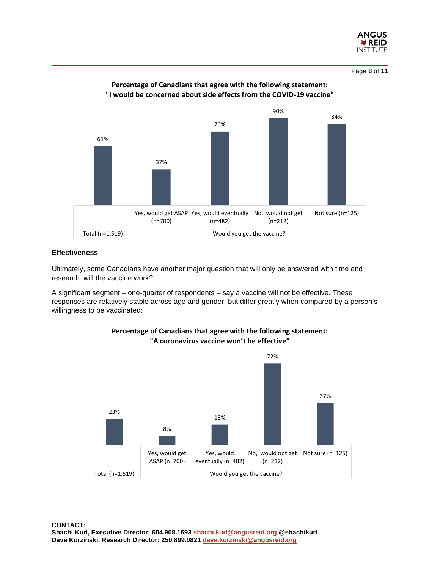

Page **8** of **11**



#### **Percentage of Canadians that agree with the following statement: "I would be concerned about side effects from the COVID-19 vaccine"**

#### **Effectiveness**

Ultimately, some Canadians have another major question that will only be answered with time and research: will the vaccine work?

A significant segment – one-quarter of respondents – say a vaccine will not be effective. These responses are relatively stable across age and gender, but differ greatly when compared by a person's willingness to be vaccinated:



#### **Percentage of Canadians that agree with the following statement: "A coronavirus vaccine won't be effective"**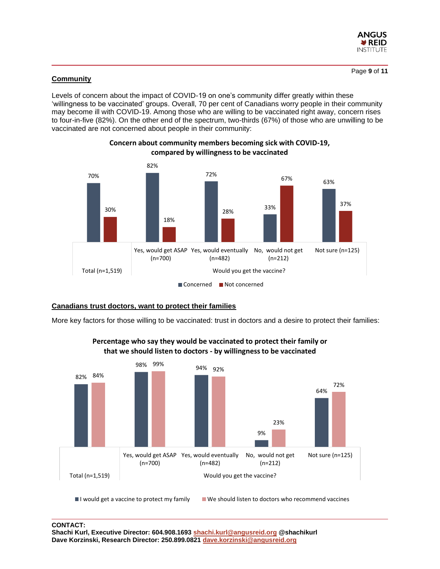

#### **Community**

Levels of concern about the impact of COVID-19 on one's community differ greatly within these 'willingness to be vaccinated' groups. Overall, 70 per cent of Canadians worry people in their community may become ill with COVID-19. Among those who are willing to be vaccinated right away, concern rises to four-in-five (82%). On the other end of the spectrum, two-thirds (67%) of those who are unwilling to be vaccinated are not concerned about people in their community:



**Concern about community members becoming sick with COVID-19, compared by willingness to be vaccinated**

#### **Canadians trust doctors, want to protect their families**

More key factors for those willing to be vaccinated: trust in doctors and a desire to protect their families:



**Percentage who say they would be vaccinated to protect their family or that we should listen to doctors - by willingness to be vaccinated**

 $\blacksquare$  I would get a vaccine to protect my family  $\blacksquare$  We should listen to doctors who recommend vaccines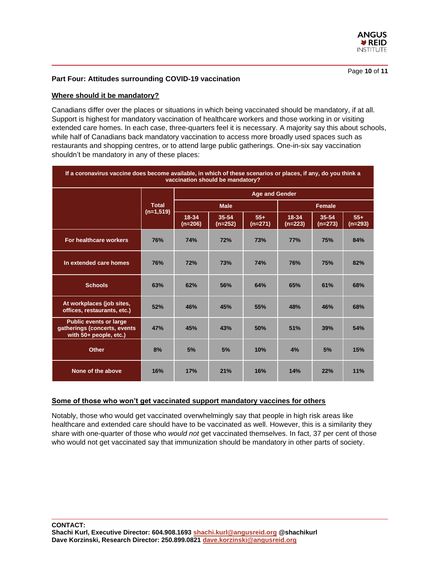

Page **10** of **11**

#### **Part Four: Attitudes surrounding COVID-19 vaccination**

#### **Where should it be mandatory?**

Canadians differ over the places or situations in which being vaccinated should be mandatory, if at all. Support is highest for mandatory vaccination of healthcare workers and those working in or visiting extended care homes. In each case, three-quarters feel it is necessary. A majority say this about schools, while half of Canadians back mandatory vaccination to access more broadly used spaces such as restaurants and shopping centres, or to attend large public gatherings. One-in-six say vaccination shouldn't be mandatory in any of these places:

| If a coronavirus vaccine does become available, in which of these scenarios or places, if any, do you think a<br>vaccination should be mandatory? |              |                       |                    |                    |                    |                    |                    |  |  |
|---------------------------------------------------------------------------------------------------------------------------------------------------|--------------|-----------------------|--------------------|--------------------|--------------------|--------------------|--------------------|--|--|
|                                                                                                                                                   |              | <b>Age and Gender</b> |                    |                    |                    |                    |                    |  |  |
|                                                                                                                                                   | <b>Total</b> |                       | <b>Male</b>        |                    |                    | <b>Female</b>      |                    |  |  |
|                                                                                                                                                   | $(n=1,519)$  | 18-34<br>$(n=206)$    | 35-54<br>$(n=252)$ | $55+$<br>$(n=271)$ | 18-34<br>$(n=223)$ | 35-54<br>$(n=273)$ | $55+$<br>$(n=293)$ |  |  |
| For healthcare workers                                                                                                                            | <b>76%</b>   | <b>74%</b>            | <b>72%</b>         | 73%                | 77%                | <b>75%</b>         | 84%                |  |  |
| In extended care homes                                                                                                                            | 76%          | <b>72%</b>            | 73%                | <b>74%</b>         | <b>76%</b>         | <b>75%</b>         | 82%                |  |  |
| <b>Schools</b>                                                                                                                                    | 63%          | 62%                   | 56%                | 64%                | 65%                | 61%                | 68%                |  |  |
| At workplaces (job sites,<br>offices, restaurants, etc.)                                                                                          | 52%          | 46%                   | 45%                | 55%                | 48%                | 46%                | 68%                |  |  |
| <b>Public events or large</b><br>gatherings (concerts, events<br>with 50+ people, etc.)                                                           | 47%          | 45%                   | 43%                | 50%                | 51%                | 39%                | 54%                |  |  |
| <b>Other</b>                                                                                                                                      | 8%           | 5%                    | 5%                 | 10%                | 4%                 | 5%                 | 15%                |  |  |
| None of the above                                                                                                                                 | 16%          | 17%                   | 21%                | 16%                | 14%                | 22%                | 11%                |  |  |

#### **Some of those who won't get vaccinated support mandatory vaccines for others**

Notably, those who would get vaccinated overwhelmingly say that people in high risk areas like healthcare and extended care should have to be vaccinated as well. However, this is a similarity they share with one-quarter of those who *would not* get vaccinated themselves. In fact, 37 per cent of those who would not get vaccinated say that immunization should be mandatory in other parts of society.